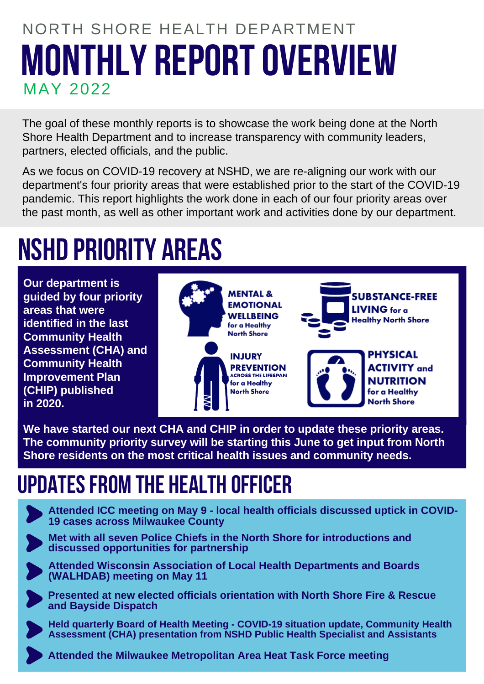# **MONTHLY REPORTOVERVIEW** NORTH SHORE HEALTH DEPARTMENT MAY 2022

The goal of these monthly reports is to showcase the work being done at the North Shore Health Department and to increase transparency with community leaders, partners, elected officials, and the public.

As we focus on COVID-19 recovery at NSHD, we are re-aligning our work with our department's four priority areas that were established prior to the start of the COVID-19 pandemic. This report highlights the work done in each of our four priority areas over the past month, as well as other important work and activities done by our department.

# **NSHD PRIORITY AREAS**

**Our department is guided by four priority areas that were identified in the last Community Health Assessment (CHA) and Community Health Improvement Plan (CHIP) published in 2020.**



**We have started our next CHA and CHIP in order to update these priority areas. The community priority survey will be starting this June to get input from North Shore residents on the most critical health issues and community needs.**

# **UPDATESFROM THE HEALTH OFFICER**



**Attended ICC meeting on May 9 - local health officials discussed uptick in COVID-19 cases across Milwaukee County**

**Met with all seven Police Chiefs in the North Shore for introductions and discussed opportunities for partnership**

**Attended Wisconsin Association of Local Health Departments and Boards**

**(WALHDAB) meeting on May 11**

**Presented at new elected officials orientation with North Shore Fire & Rescue and Bayside Dispatch**

**Held quarterly Board of Health Meeting - COVID-19 situation update, Community Health Assessment (CHA) presentation from NSHD Public Health Specialist and Assistants**

**Attended the Milwaukee Metropolitan Area Heat Task Force meeting**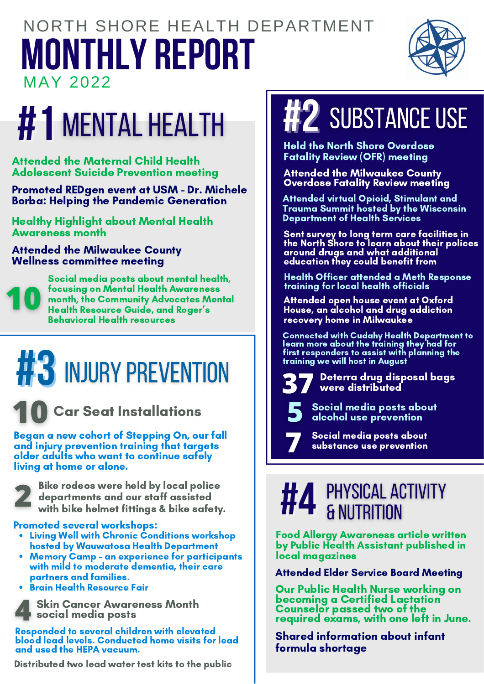# **MONTHLY REPORT** NORTH SHORE HEALTH DEPARTMENT MAY 2022



# **#1 MENTAL HEALTH | #2** SUBSTANCE USE

Attended the Maternal Child Health Adolescent Suicide Prevention meeting

Promoted REDgen event at USM - Dr. Michele Borba: Helping the Pandemic Generation

Healthy Highlight about Mental Health Awareness month

Attended the Milwaukee County Wellness committee meeting



Social media posts about mental health, focusing on Mental Health Awareness month, the Community Advocates Mental Health Resource Guide, and Roger's Behavioral Health resources

# **#3** INJURY PREVENTION



Began a new cohort of Stepping On, our fall and injury prevention training that targets older adults who want to continue safely living at home or alone.



Bike rodeos were held by local police departments and our staff assisted with bike helmet fittings & bike safety.

#### Promoted several workshops:

- Living Well with Chronic Conditions workshop hosted by Wauwatosa Health Department
- Memory Camp an experience for participants with mild to moderate dementia, their care partners and families.
- **Brain Health Resource Fair**



Skin Cancer Awareness Month social media posts

Responded to several children with elevated blood lead levels. Conducted home visits for lead and used the HEPA vacuum.

Distributed two lead water test kits to the public

Held the North Shore Overdose Fatality Review (OFR) meeting

Attended the Milwaukee County Overdose Fatality Review meeting

Attended virtual Opioid, Stimulant and Trauma Summit hosted by the Wisconsin Department of Health Services

Sent survey to long term care facilities in the North Shore to learn about their polices around drugs and what additional education they could benefit from

Health Officer attended a Meth Response training for local health officials

Attended open house event at Oxford House, an alcohol and drug addiction recovery home in Milwaukee

Connected with Cudahy Health Department to learn more about the training they had for first responders to assist with planning the training we will host in August

> Deterra drug disposal bags were distributed

Social media posts about alcohol use prevention

Social media posts about substance use prevention

# **#4** & NUTRITION

Food Allergy Awareness article written by Public Health Assistant published in local magazines

Attended Elder Service Board Meeting

Our Public Health Nurse working on becoming a Certified Lactation Counselor passed two of the required exams, with one left in June.

Shared information about infant formula shortage